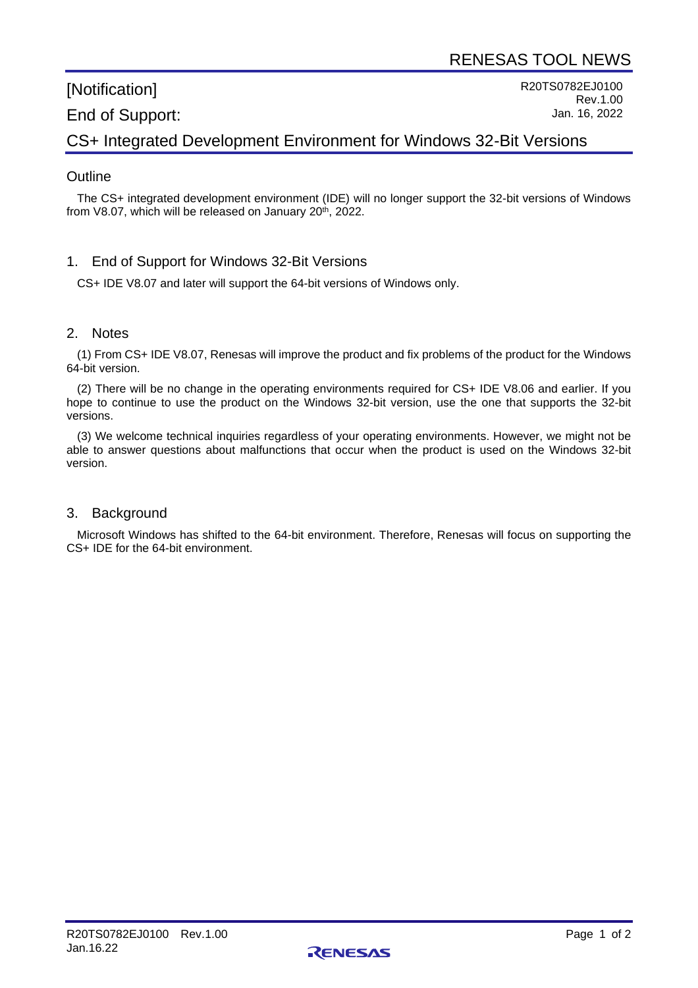# [Notification] End of Support:

R20TS0782EJ0100 Rev.1.00 Jan. 16, 2022

# CS+ Integrated Development Environment for Windows 32-Bit Versions

### **Outline**

The CS+ integrated development environment (IDE) will no longer support the 32-bit versions of Windows from V8.07, which will be released on January  $20<sup>th</sup>$ ,  $2022$ .

#### 1. End of Support for Windows 32-Bit Versions

CS+ IDE V8.07 and later will support the 64-bit versions of Windows only.

#### 2. Notes

(1) From CS+ IDE V8.07, Renesas will improve the product and fix problems of the product for the Windows 64-bit version.

(2) There will be no change in the operating environments required for CS+ IDE V8.06 and earlier. If you hope to continue to use the product on the Windows 32-bit version, use the one that supports the 32-bit versions.

(3) We welcome technical inquiries regardless of your operating environments. However, we might not be able to answer questions about malfunctions that occur when the product is used on the Windows 32-bit version.

#### 3. Background

Microsoft Windows has shifted to the 64-bit environment. Therefore, Renesas will focus on supporting the CS+ IDE for the 64-bit environment.